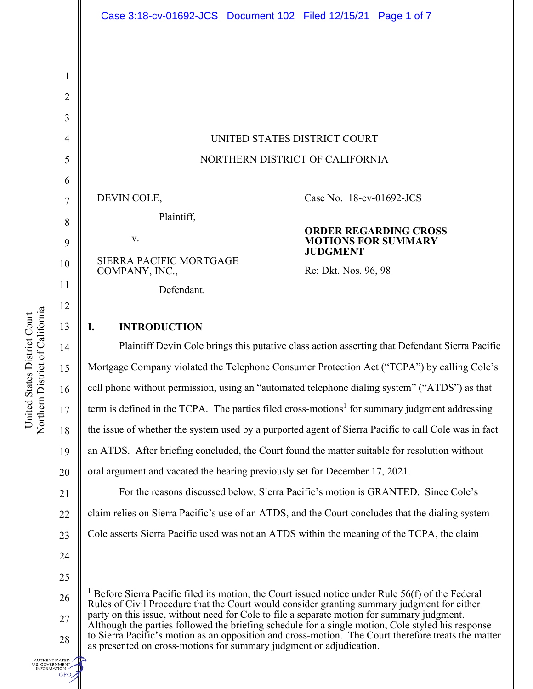

DEVIN COLE,

Plaintiff,

v.

SIERRA PACIFIC MORTGAGE COMPANY, INC.,

Defendant.

Case No. 18-cv-01692-JCS

#### **ORDER REGARDING CROSS MOTIONS FOR SUMMARY JUDGMENT**

Re: Dkt. Nos. 96, 98

## **I. INTRODUCTION**

Plaintiff Devin Cole brings this putative class action asserting that Defendant Sierra Pacific Mortgage Company violated the Telephone Consumer Protection Act ("TCPA") by calling Cole's cell phone without permission, using an "automated telephone dialing system" ("ATDS") as that term is defined in the TCPA. The parties filed cross-motions<sup>1</sup> for summary judgment addressing the issue of whether the system used by a purported agent of Sierra Pacific to call Cole was in fact an ATDS. After briefing concluded, the Court found the matter suitable for resolution without oral argument and vacated the hearing previously set for December 17, 2021.

21 22 23 For the reasons discussed below, Sierra Pacific's motion is GRANTED. Since Cole's claim relies on Sierra Pacific's use of an ATDS, and the Court concludes that the dialing system Cole asserts Sierra Pacific used was not an ATDS within the meaning of the TCPA, the claim

- 24
- 25

**UTHENTICATED** U.S. GOVERNMENT<br>- INFORMATION **GPO** 

1

2

3

4

5

6

7

8

9

10

11

12

13

14

15

16

17

18

19

<sup>26</sup>  27 <sup>1</sup> Before Sierra Pacific filed its motion, the Court issued notice under Rule 56(f) of the Federal Rules of Civil Procedure that the Court would consider granting summary judgment for either party on this issue, without need for Cole to file a separate motion for summary judgment. Although the parties followed the briefing schedule for a single motion, Cole styled his response

<sup>28</sup>  to Sierra Pacific's motion as an opposition and cross-motion. The Court therefore treats the matter as presented on cross-motions for summary judgment or adjudication.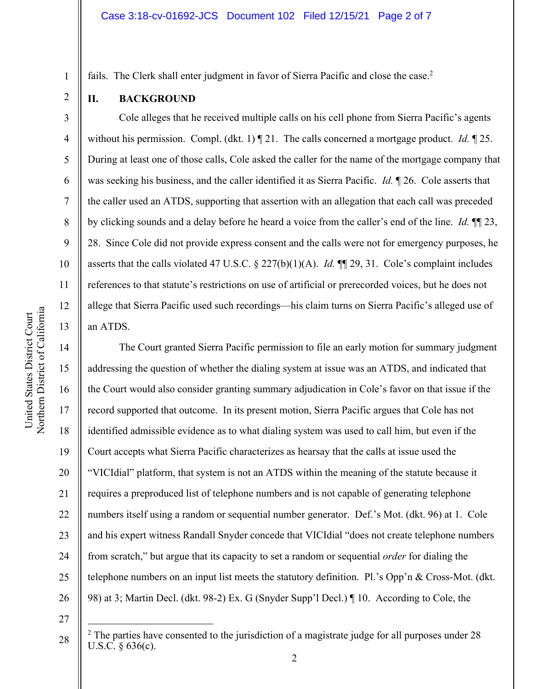fails. The Clerk shall enter judgment in favor of Sierra Pacific and close the case.<sup>2</sup>

**II. BACKGROUND** 

1

2

3

4

5

6

7

8

9

10

11

12

13

14

15

17

18

19

21

23

25

Cole alleges that he received multiple calls on his cell phone from Sierra Pacific's agents without his permission. Compl. (dkt. 1) ¶ 21. The calls concerned a mortgage product. *Id.* ¶ 25. During at least one of those calls, Cole asked the caller for the name of the mortgage company that was seeking his business, and the caller identified it as Sierra Pacific. *Id.* ¶ 26. Cole asserts that the caller used an ATDS, supporting that assertion with an allegation that each call was preceded by clicking sounds and a delay before he heard a voice from the caller's end of the line. *Id.* ¶¶ 23, 28. Since Cole did not provide express consent and the calls were not for emergency purposes, he asserts that the calls violated 47 U.S.C. § 227(b)(1)(A). *Id.* ¶¶ 29, 31. Cole's complaint includes references to that statute's restrictions on use of artificial or prerecorded voices, but he does not allege that Sierra Pacific used such recordings—his claim turns on Sierra Pacific's alleged use of an ATDS.

16 20 22 24 26 The Court granted Sierra Pacific permission to file an early motion for summary judgment addressing the question of whether the dialing system at issue was an ATDS, and indicated that the Court would also consider granting summary adjudication in Cole's favor on that issue if the record supported that outcome. In its present motion, Sierra Pacific argues that Cole has not identified admissible evidence as to what dialing system was used to call him, but even if the Court accepts what Sierra Pacific characterizes as hearsay that the calls at issue used the "VICIdial" platform, that system is not an ATDS within the meaning of the statute because it requires a preproduced list of telephone numbers and is not capable of generating telephone numbers itself using a random or sequential number generator. Def.'s Mot. (dkt. 96) at 1. Cole and his expert witness Randall Snyder concede that VICIdial "does not create telephone numbers from scratch," but argue that its capacity to set a random or sequential *order* for dialing the telephone numbers on an input list meets the statutory definition. Pl.'s Opp'n & Cross-Mot. (dkt. 98) at 3; Martin Decl. (dkt. 98-2) Ex. G (Snyder Supp'l Decl.) ¶ 10. According to Cole, the

27

 $2$  The parties have consented to the jurisdiction of a magistrate judge for all purposes under 28 U.S.C. § 636(c).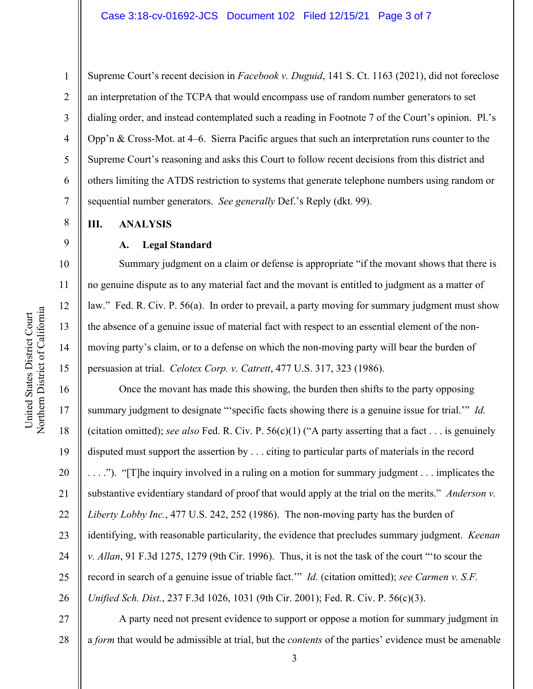Supreme Court's recent decision in *Facebook v. Duguid*, 141 S. Ct. 1163 (2021), did not foreclose an interpretation of the TCPA that would encompass use of random number generators to set dialing order, and instead contemplated such a reading in Footnote 7 of the Court's opinion. Pl.'s Opp'n & Cross-Mot. at 4–6. Sierra Pacific argues that such an interpretation runs counter to the Supreme Court's reasoning and asks this Court to follow recent decisions from this district and others limiting the ATDS restriction to systems that generate telephone numbers using random or sequential number generators. *See generally* Def.'s Reply (dkt. 99).

#### **III. ANALYSIS**

1

2

3

4

5

6

7

8

9

10

11

12

13

14

15

17

18

19

21

23

25

### **A. Legal Standard**

Summary judgment on a claim or defense is appropriate "if the movant shows that there is no genuine dispute as to any material fact and the movant is entitled to judgment as a matter of law." Fed. R. Civ. P. 56(a). In order to prevail, a party moving for summary judgment must show the absence of a genuine issue of material fact with respect to an essential element of the nonmoving party's claim, or to a defense on which the non-moving party will bear the burden of persuasion at trial. *Celotex Corp. v. Catrett*, 477 U.S. 317, 323 (1986).

16 20 22 24 26 Once the movant has made this showing, the burden then shifts to the party opposing summary judgment to designate "'specific facts showing there is a genuine issue for trial.'" *Id.* (citation omitted); *see also* Fed. R. Civ. P. 56(c)(1) ("A party asserting that a fact . . . is genuinely disputed must support the assertion by . . . citing to particular parts of materials in the record . . . ."). "[T]he inquiry involved in a ruling on a motion for summary judgment . . . implicates the substantive evidentiary standard of proof that would apply at the trial on the merits." *Anderson v. Liberty Lobby Inc.*, 477 U.S. 242, 252 (1986). The non-moving party has the burden of identifying, with reasonable particularity, the evidence that precludes summary judgment. *Keenan v. Allan*, 91 F.3d 1275, 1279 (9th Cir. 1996). Thus, it is not the task of the court "'to scour the record in search of a genuine issue of triable fact.'" *Id.* (citation omitted); *see Carmen v. S.F. Unified Sch. Dist.*, 237 F.3d 1026, 1031 (9th Cir. 2001); Fed. R. Civ. P. 56(c)(3).

27 28 A party need not present evidence to support or oppose a motion for summary judgment in a *form* that would be admissible at trial, but the *contents* of the parties' evidence must be amenable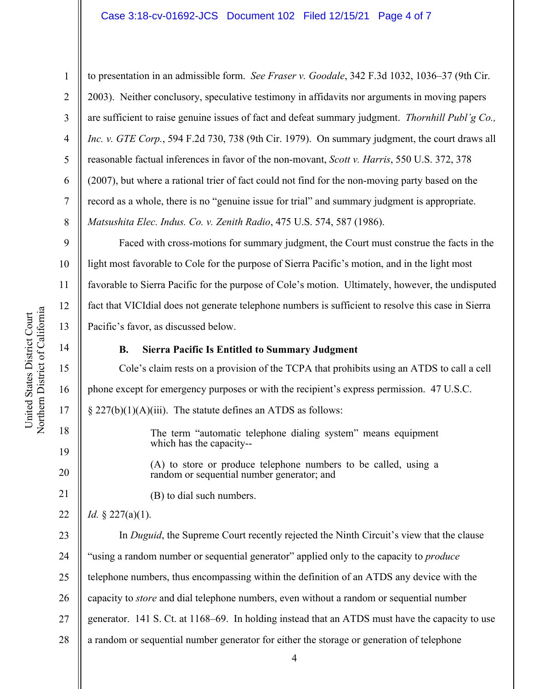#### Case 3:18-cv-01692-JCS Document 102 Filed 12/15/21 Page 4 of 7

to presentation in an admissible form. *See Fraser v. Goodale*, 342 F.3d 1032, 1036–37 (9th Cir. 2003). Neither conclusory, speculative testimony in affidavits nor arguments in moving papers are sufficient to raise genuine issues of fact and defeat summary judgment. *Thornhill Publ'g Co., Inc. v. GTE Corp.*, 594 F.2d 730, 738 (9th Cir. 1979). On summary judgment, the court draws all reasonable factual inferences in favor of the non-movant, *Scott v. Harris*, 550 U.S. 372, 378 (2007), but where a rational trier of fact could not find for the non-moving party based on the record as a whole, there is no "genuine issue for trial" and summary judgment is appropriate. *Matsushita Elec. Indus. Co. v. Zenith Radio*, 475 U.S. 574, 587 (1986).

Faced with cross-motions for summary judgment, the Court must construe the facts in the light most favorable to Cole for the purpose of Sierra Pacific's motion, and in the light most favorable to Sierra Pacific for the purpose of Cole's motion. Ultimately, however, the undisputed fact that VICIdial does not generate telephone numbers is sufficient to resolve this case in Sierra Pacific's favor, as discussed below.

## **B. Sierra Pacific Is Entitled to Summary Judgment**

Cole's claim rests on a provision of the TCPA that prohibits using an ATDS to call a cell phone except for emergency purposes or with the recipient's express permission. 47 U.S.C.  $\S 227(b)(1)(A)(iii)$ . The statute defines an ATDS as follows:

> The term "automatic telephone dialing system" means equipment which has the capacity--

(A) to store or produce telephone numbers to be called, using a random or sequential number generator; and

(B) to dial such numbers.

22 *Id.* § 227(a)(1).

23 24 25 26 27 28 In *Duguid*, the Supreme Court recently rejected the Ninth Circuit's view that the clause "using a random number or sequential generator" applied only to the capacity to *produce* telephone numbers, thus encompassing within the definition of an ATDS any device with the capacity to *store* and dial telephone numbers, even without a random or sequential number generator. 141 S. Ct. at 1168–69. In holding instead that an ATDS must have the capacity to use a random or sequential number generator for either the storage or generation of telephone

1

2

3

4

5

6

7

8

9

10

11

12

13

14

15

16

17

18

19

20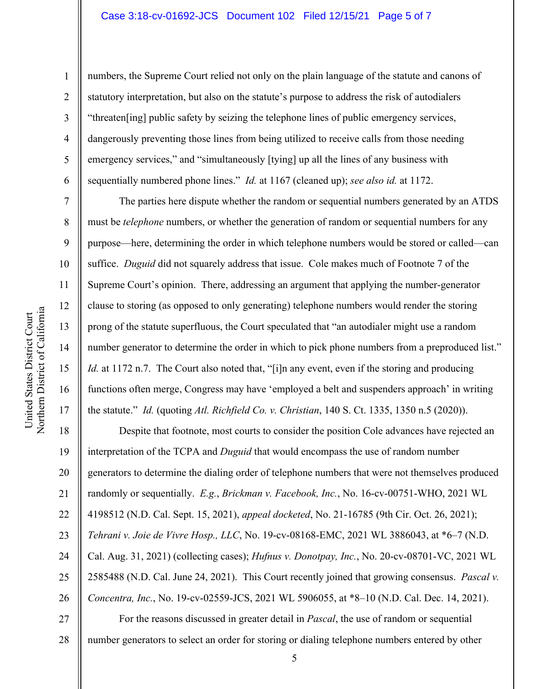#### Case 3:18-cv-01692-JCS Document 102 Filed 12/15/21 Page 5 of 7

numbers, the Supreme Court relied not only on the plain language of the statute and canons of statutory interpretation, but also on the statute's purpose to address the risk of autodialers "threaten[ing] public safety by seizing the telephone lines of public emergency services, dangerously preventing those lines from being utilized to receive calls from those needing emergency services," and "simultaneously [tying] up all the lines of any business with sequentially numbered phone lines." *Id.* at 1167 (cleaned up); *see also id.* at 1172.

The parties here dispute whether the random or sequential numbers generated by an ATDS must be *telephone* numbers, or whether the generation of random or sequential numbers for any purpose—here, determining the order in which telephone numbers would be stored or called—can suffice. *Duguid* did not squarely address that issue. Cole makes much of Footnote 7 of the Supreme Court's opinion. There, addressing an argument that applying the number-generator clause to storing (as opposed to only generating) telephone numbers would render the storing prong of the statute superfluous, the Court speculated that "an autodialer might use a random number generator to determine the order in which to pick phone numbers from a preproduced list." *Id.* at 1172 n.7. The Court also noted that, "[i]n any event, even if the storing and producing functions often merge, Congress may have 'employed a belt and suspenders approach' in writing the statute." *Id.* (quoting *Atl. Richfield Co. v. Christian*, 140 S. Ct. 1335, 1350 n.5 (2020)).

18 19 20 21 22 23 24 25 26 27 Despite that footnote, most courts to consider the position Cole advances have rejected an interpretation of the TCPA and *Duguid* that would encompass the use of random number generators to determine the dialing order of telephone numbers that were not themselves produced randomly or sequentially. *E.g.*, *Brickman v. Facebook, Inc.*, No. 16-cv-00751-WHO, 2021 WL 4198512 (N.D. Cal. Sept. 15, 2021), *appeal docketed*, No. 21-16785 (9th Cir. Oct. 26, 2021); *Tehrani v. Joie de Vivre Hosp., LLC*, No. 19-cv-08168-EMC, 2021 WL 3886043, at \*6–7 (N.D. Cal. Aug. 31, 2021) (collecting cases); *Hufnus v. Donotpay, Inc.*, No. 20-cv-08701-VC, 2021 WL 2585488 (N.D. Cal. June 24, 2021). This Court recently joined that growing consensus. *Pascal v. Concentra, Inc.*, No. 19-cv-02559-JCS, 2021 WL 5906055, at \*8–10 (N.D. Cal. Dec. 14, 2021). For the reasons discussed in greater detail in *Pascal*, the use of random or sequential

28 number generators to select an order for storing or dialing telephone numbers entered by other

1

2

3

4

5

6

7

8

9

10

11

12

13

14

15

16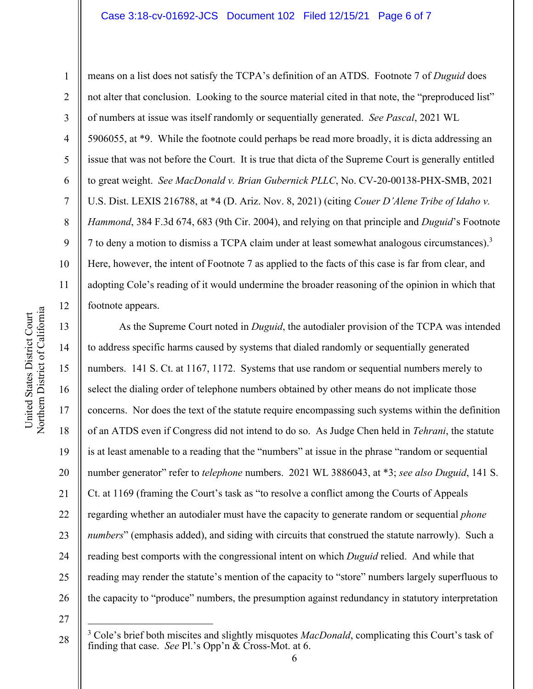#### Case 3:18-cv-01692-JCS Document 102 Filed 12/15/21 Page 6 of 7

1

2

3

4

5

6

7

8

16

United States District Court Northern District of Californi

United States District Court

a

17

18

19

20

21

22

23

24

25

26

means on a list does not satisfy the TCPA's definition of an ATDS. Footnote 7 of *Duguid* does not alter that conclusion. Looking to the source material cited in that note, the "preproduced list" of numbers at issue was itself randomly or sequentially generated. *See Pascal*, 2021 WL 5906055, at \*9. While the footnote could perhaps be read more broadly, it is dicta addressing an issue that was not before the Court. It is true that dicta of the Supreme Court is generally entitled to great weight. *See MacDonald v. Brian Gubernick PLLC*, No. CV-20-00138-PHX-SMB, 2021 U.S. Dist. LEXIS 216788, at \*4 (D. Ariz. Nov. 8, 2021) (citing *Couer D'Alene Tribe of Idaho v. Hammond*, 384 F.3d 674, 683 (9th Cir. 2004), and relying on that principle and *Duguid*'s Footnote 7 to deny a motion to dismiss a TCPA claim under at least somewhat analogous circumstances).<sup>3</sup> Here, however, the intent of Footnote 7 as applied to the facts of this case is far from clear, and adopting Cole's reading of it would undermine the broader reasoning of the opinion in which that footnote appears.

As the Supreme Court noted in *Duguid*, the autodialer provision of the TCPA was intended to address specific harms caused by systems that dialed randomly or sequentially generated numbers. 141 S. Ct. at 1167, 1172. Systems that use random or sequential numbers merely to select the dialing order of telephone numbers obtained by other means do not implicate those concerns. Nor does the text of the statute require encompassing such systems within the definition of an ATDS even if Congress did not intend to do so. As Judge Chen held in *Tehrani*, the statute is at least amenable to a reading that the "numbers" at issue in the phrase "random or sequential number generator" refer to *telephone* numbers. 2021 WL 3886043, at \*3; *see also Duguid*, 141 S. Ct. at 1169 (framing the Court's task as "to resolve a conflict among the Courts of Appeals regarding whether an autodialer must have the capacity to generate random or sequential *phone numbers*" (emphasis added), and siding with circuits that construed the statute narrowly). Such a reading best comports with the congressional intent on which *Duguid* relied. And while that reading may render the statute's mention of the capacity to "store" numbers largely superfluous to the capacity to "produce" numbers, the presumption against redundancy in statutory interpretation

<sup>28</sup>  <sup>3</sup> Cole's brief both miscites and slightly misquotes *MacDonald*, complicating this Court's task of finding that case. *See* Pl.'s Opp'n & Cross-Mot. at 6.